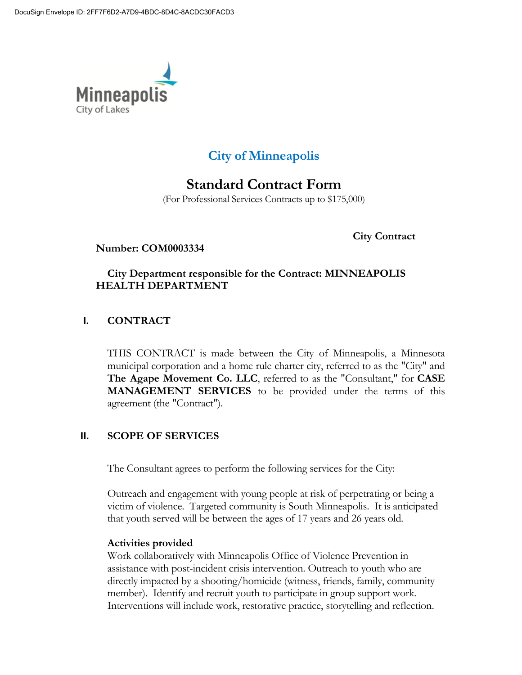

# **City of Minneapolis**

# **Standard Contract Form**

(For Professional Services Contracts up to \$175,000)

**City Contract** 

#### **Number: COM0003334**

### **City Department responsible for the Contract: MINNEAPOLIS HEALTH DEPARTMENT**

## **I. CONTRACT**

THIS CONTRACT is made between the City of Minneapolis, a Minnesota municipal corporation and a home rule charter city, referred to as the "City" and **The Agape Movement Co. LLC**, referred to as the "Consultant," for **CASE MANAGEMENT SERVICES** to be provided under the terms of this agreement (the "Contract").

# **II. SCOPE OF SERVICES**

The Consultant agrees to perform the following services for the City:

Outreach and engagement with young people at risk of perpetrating or being a victim of violence. Targeted community is South Minneapolis. It is anticipated that youth served will be between the ages of 17 years and 26 years old.

#### **Activities provided**

Work collaboratively with Minneapolis Office of Violence Prevention in assistance with post-incident crisis intervention. Outreach to youth who are directly impacted by a shooting/homicide (witness, friends, family, community member). Identify and recruit youth to participate in group support work. Interventions will include work, restorative practice, storytelling and reflection.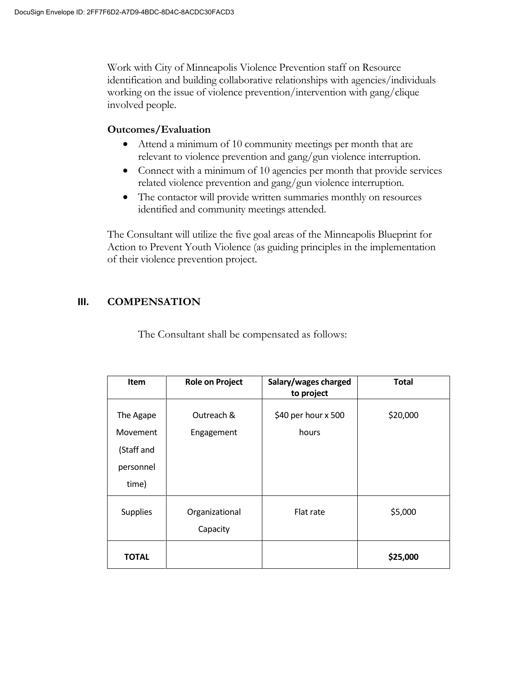Work with City of Minneapolis Violence Prevention staff on Resource identification and building collaborative relationships with agencies/individuals working on the issue of violence prevention/intervention with gang/clique involved people.

#### **Outcomes/Evaluation**

- Attend a minimum of 10 community meetings per month that are relevant to violence prevention and gang/gun violence interruption.
- Connect with a minimum of 10 agencies per month that provide services related violence prevention and gang/gun violence interruption.
- The contactor will provide written summaries monthly on resources identified and community meetings attended.

The Consultant will utilize the five goal areas of the Minneapolis Blueprint for Action to Prevent Youth Violence (as guiding principles in the implementation of their violence prevention project.

#### **III. COMPENSATION**

The Consultant shall be compensated as follows:

| <b>Item</b>                                               | <b>Role on Project</b>     | Salary/wages charged<br>to project | <b>Total</b> |
|-----------------------------------------------------------|----------------------------|------------------------------------|--------------|
| The Agape<br>Movement<br>(Staff and<br>personnel<br>time) | Outreach &<br>Engagement   | \$40 per hour x 500<br>hours       | \$20,000     |
| <b>Supplies</b>                                           | Organizational<br>Capacity | Flat rate                          | \$5,000      |
| <b>TOTAL</b>                                              |                            |                                    | \$25,000     |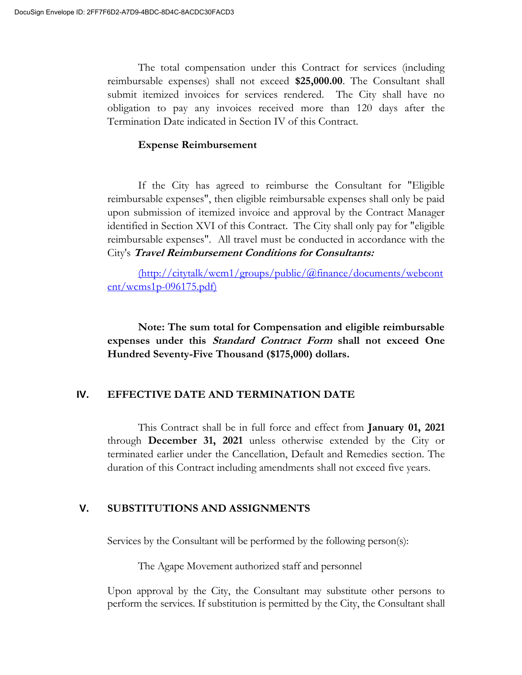The total compensation under this Contract for services (including reimbursable expenses) shall not exceed **\$25,000.00**. The Consultant shall submit itemized invoices for services rendered. The City shall have no obligation to pay any invoices received more than 120 days after the Termination Date indicated in Section IV of this Contract.

#### **Expense Reimbursement**

If the City has agreed to reimburse the Consultant for "Eligible reimbursable expenses", then eligible reimbursable expenses shall only be paid upon submission of itemized invoice and approval by the Contract Manager identified in Section XVI of this Contract. The City shall only pay for "eligible reimbursable expenses". All travel must be conducted in accordance with the City's **Travel Reimbursement Conditions for Consultants:**

(http://citytalk/wcm1/groups/public/@finance/documents/webcont ent/wcms1p-096175.pdf)

**Note: The sum total for Compensation and eligible reimbursable expenses under this Standard Contract Form shall not exceed One Hundred Seventy-Five Thousand (\$175,000) dollars.**

#### **IV. EFFECTIVE DATE AND TERMINATION DATE**

This Contract shall be in full force and effect from **January 01, 2021** through **December 31, 2021** unless otherwise extended by the City or terminated earlier under the Cancellation, Default and Remedies section. The duration of this Contract including amendments shall not exceed five years.

#### **V. SUBSTITUTIONS AND ASSIGNMENTS**

Services by the Consultant will be performed by the following person(s):

The Agape Movement authorized staff and personnel

Upon approval by the City, the Consultant may substitute other persons to perform the services. If substitution is permitted by the City, the Consultant shall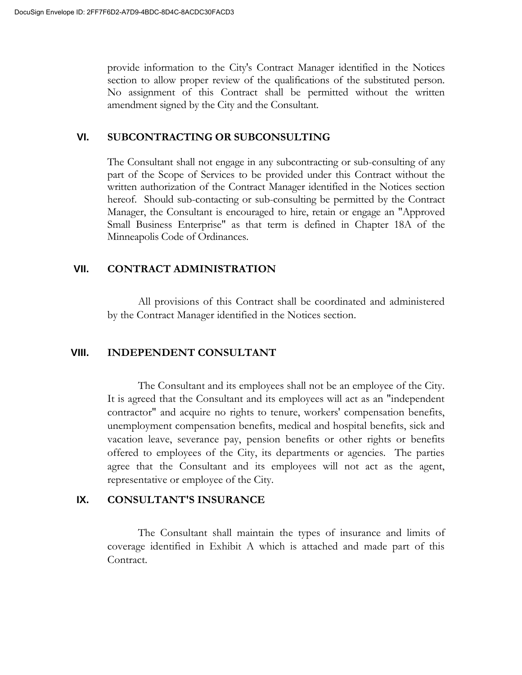provide information to the City's Contract Manager identified in the Notices section to allow proper review of the qualifications of the substituted person. No assignment of this Contract shall be permitted without the written amendment signed by the City and the Consultant.

#### **VI. SUBCONTRACTING OR SUBCONSULTING**

The Consultant shall not engage in any subcontracting or sub-consulting of any part of the Scope of Services to be provided under this Contract without the written authorization of the Contract Manager identified in the Notices section hereof. Should sub-contacting or sub-consulting be permitted by the Contract Manager, the Consultant is encouraged to hire, retain or engage an "Approved Small Business Enterprise" as that term is defined in Chapter 18A of the Minneapolis Code of Ordinances.

#### **VII. CONTRACT ADMINISTRATION**

All provisions of this Contract shall be coordinated and administered by the Contract Manager identified in the Notices section.

#### **VIII. INDEPENDENT CONSULTANT**

The Consultant and its employees shall not be an employee of the City. It is agreed that the Consultant and its employees will act as an "independent contractor" and acquire no rights to tenure, workers' compensation benefits, unemployment compensation benefits, medical and hospital benefits, sick and vacation leave, severance pay, pension benefits or other rights or benefits offered to employees of the City, its departments or agencies. The parties agree that the Consultant and its employees will not act as the agent, representative or employee of the City.

#### **IX. CONSULTANT'S INSURANCE**

The Consultant shall maintain the types of insurance and limits of coverage identified in Exhibit A which is attached and made part of this Contract.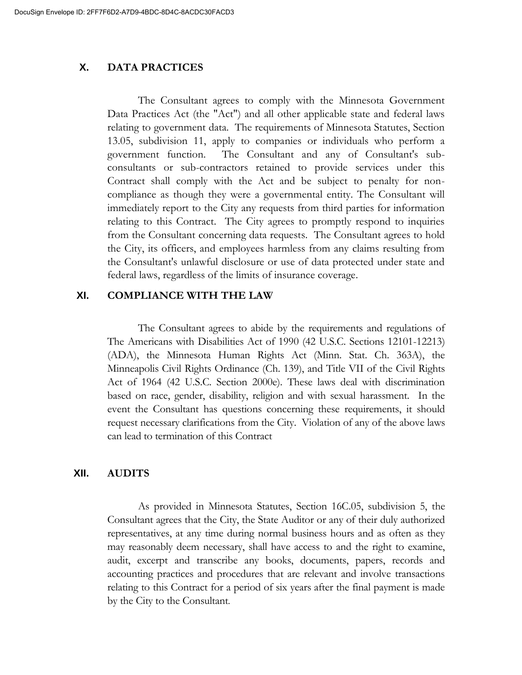### **X. DATA PRACTICES**

The Consultant agrees to comply with the Minnesota Government Data Practices Act (the "Act") and all other applicable state and federal laws relating to government data. The requirements of Minnesota Statutes, Section 13.05, subdivision 11, apply to companies or individuals who perform a government function. The Consultant and any of Consultant's subconsultants or sub-contractors retained to provide services under this Contract shall comply with the Act and be subject to penalty for noncompliance as though they were a governmental entity. The Consultant will immediately report to the City any requests from third parties for information relating to this Contract. The City agrees to promptly respond to inquiries from the Consultant concerning data requests. The Consultant agrees to hold the City, its officers, and employees harmless from any claims resulting from the Consultant's unlawful disclosure or use of data protected under state and federal laws, regardless of the limits of insurance coverage.

#### **XI. COMPLIANCE WITH THE LAW**

The Consultant agrees to abide by the requirements and regulations of The Americans with Disabilities Act of 1990 (42 U.S.C. Sections 12101-12213) (ADA), the Minnesota Human Rights Act (Minn. Stat. Ch. 363A), the Minneapolis Civil Rights Ordinance (Ch. 139), and Title VII of the Civil Rights Act of 1964 (42 U.S.C. Section 2000e). These laws deal with discrimination based on race, gender, disability, religion and with sexual harassment. In the event the Consultant has questions concerning these requirements, it should request necessary clarifications from the City. Violation of any of the above laws can lead to termination of this Contract

#### **XII. AUDITS**

As provided in Minnesota Statutes, Section 16C.05, subdivision 5, the Consultant agrees that the City, the State Auditor or any of their duly authorized representatives, at any time during normal business hours and as often as they may reasonably deem necessary, shall have access to and the right to examine, audit, excerpt and transcribe any books, documents, papers, records and accounting practices and procedures that are relevant and involve transactions relating to this Contract for a period of six years after the final payment is made by the City to the Consultant.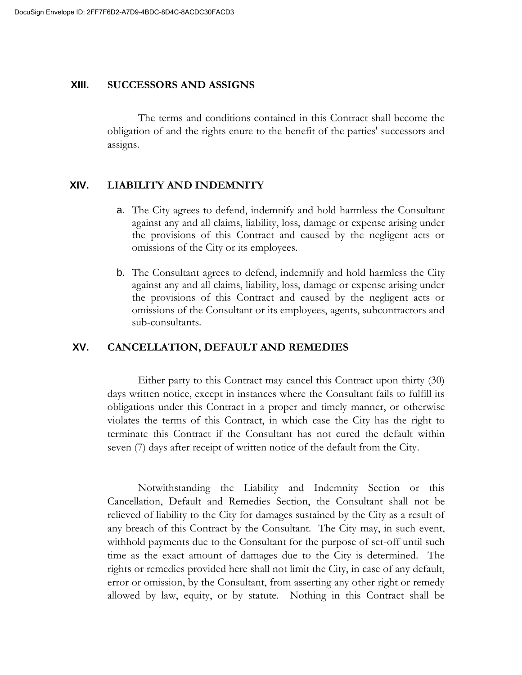#### **XIII. SUCCESSORS AND ASSIGNS**

The terms and conditions contained in this Contract shall become the obligation of and the rights enure to the benefit of the parties' successors and assigns.

#### **XIV. LIABILITY AND INDEMNITY**

- a. The City agrees to defend, indemnify and hold harmless the Consultant against any and all claims, liability, loss, damage or expense arising under the provisions of this Contract and caused by the negligent acts or omissions of the City or its employees.
- b. The Consultant agrees to defend, indemnify and hold harmless the City against any and all claims, liability, loss, damage or expense arising under the provisions of this Contract and caused by the negligent acts or omissions of the Consultant or its employees, agents, subcontractors and sub-consultants.

#### **XV. CANCELLATION, DEFAULT AND REMEDIES**

Either party to this Contract may cancel this Contract upon thirty (30) days written notice, except in instances where the Consultant fails to fulfill its obligations under this Contract in a proper and timely manner, or otherwise violates the terms of this Contract, in which case the City has the right to terminate this Contract if the Consultant has not cured the default within seven (7) days after receipt of written notice of the default from the City.

Notwithstanding the Liability and Indemnity Section or this Cancellation, Default and Remedies Section, the Consultant shall not be relieved of liability to the City for damages sustained by the City as a result of any breach of this Contract by the Consultant. The City may, in such event, withhold payments due to the Consultant for the purpose of set-off until such time as the exact amount of damages due to the City is determined. The rights or remedies provided here shall not limit the City, in case of any default, error or omission, by the Consultant, from asserting any other right or remedy allowed by law, equity, or by statute. Nothing in this Contract shall be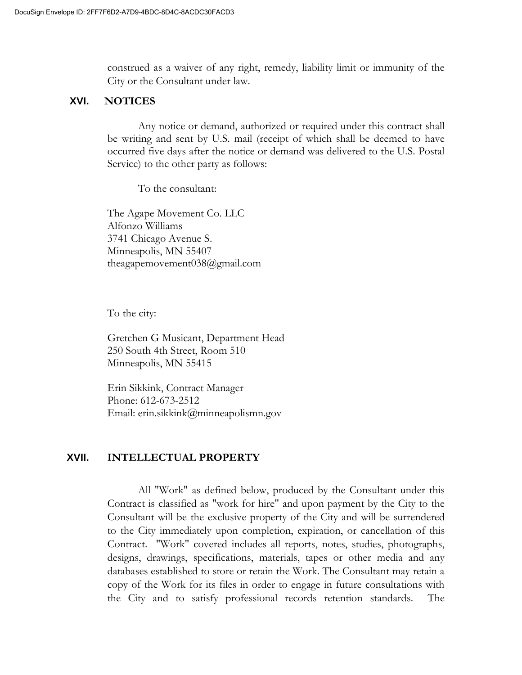construed as a waiver of any right, remedy, liability limit or immunity of the City or the Consultant under law.

#### **XVI. NOTICES**

Any notice or demand, authorized or required under this contract shall be writing and sent by U.S. mail (receipt of which shall be deemed to have occurred five days after the notice or demand was delivered to the U.S. Postal Service) to the other party as follows:

To the consultant:

The Agape Movement Co. LLC Alfonzo Williams 3741 Chicago Avenue S. Minneapolis, MN 55407 theagapemovement038@gmail.com

To the city:

Gretchen G Musicant, Department Head 250 South 4th Street, Room 510 Minneapolis, MN 55415

Erin Sikkink, Contract Manager Phone: 612-673-2512 Email: erin.sikkink@minneapolismn.gov

#### **XVII. INTELLECTUAL PROPERTY**

All "Work" as defined below, produced by the Consultant under this Contract is classified as "work for hire" and upon payment by the City to the Consultant will be the exclusive property of the City and will be surrendered to the City immediately upon completion, expiration, or cancellation of this Contract. "Work" covered includes all reports, notes, studies, photographs, designs, drawings, specifications, materials, tapes or other media and any databases established to store or retain the Work. The Consultant may retain a copy of the Work for its files in order to engage in future consultations with the City and to satisfy professional records retention standards. The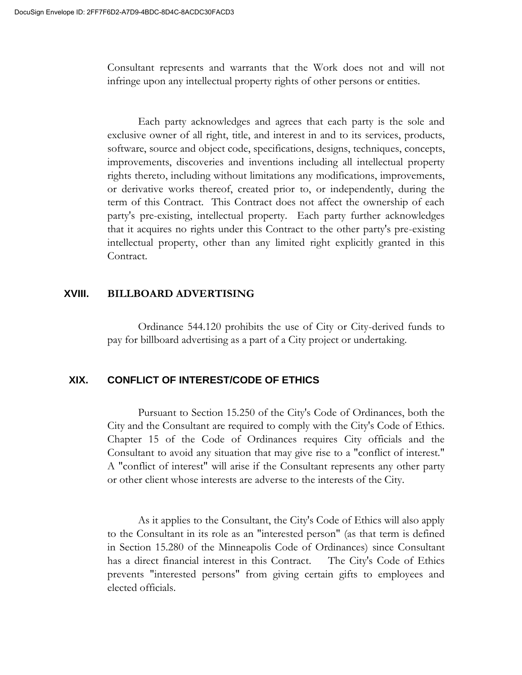Consultant represents and warrants that the Work does not and will not infringe upon any intellectual property rights of other persons or entities.

Each party acknowledges and agrees that each party is the sole and exclusive owner of all right, title, and interest in and to its services, products, software, source and object code, specifications, designs, techniques, concepts, improvements, discoveries and inventions including all intellectual property rights thereto, including without limitations any modifications, improvements, or derivative works thereof, created prior to, or independently, during the term of this Contract. This Contract does not affect the ownership of each party's pre-existing, intellectual property. Each party further acknowledges that it acquires no rights under this Contract to the other party's pre-existing intellectual property, other than any limited right explicitly granted in this Contract.

#### **XVIII. BILLBOARD ADVERTISING**

Ordinance 544.120 prohibits the use of City or City-derived funds to pay for billboard advertising as a part of a City project or undertaking.

### **XIX. CONFLICT OF INTEREST/CODE OF ETHICS**

Pursuant to Section 15.250 of the City's Code of Ordinances, both the City and the Consultant are required to comply with the City's Code of Ethics. Chapter 15 of the Code of Ordinances requires City officials and the Consultant to avoid any situation that may give rise to a "conflict of interest." A "conflict of interest" will arise if the Consultant represents any other party or other client whose interests are adverse to the interests of the City.

As it applies to the Consultant, the City's Code of Ethics will also apply to the Consultant in its role as an "interested person" (as that term is defined in Section 15.280 of the Minneapolis Code of Ordinances) since Consultant has a direct financial interest in this Contract. The City's Code of Ethics prevents "interested persons" from giving certain gifts to employees and elected officials.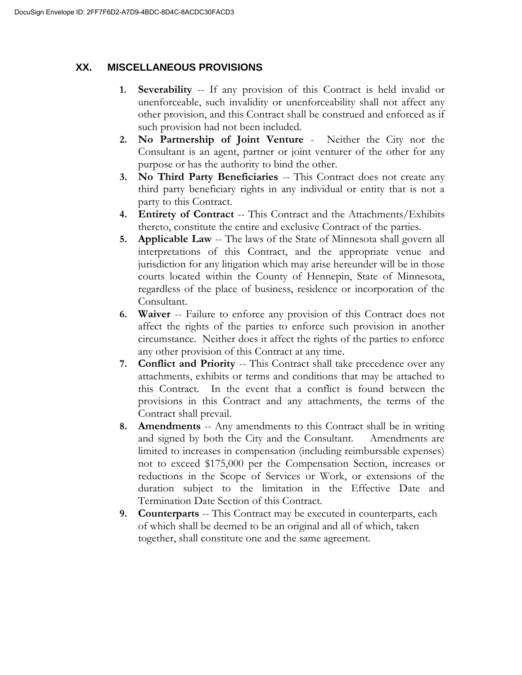# **XX. MISCELLANEOUS PROVISIONS**

- **1. Severability** -- If any provision of this Contract is held invalid or unenforceable, such invalidity or unenforceability shall not affect any other provision, and this Contract shall be construed and enforced as if such provision had not been included.
- **2. No Partnership of Joint Venture**  Neither the City nor the Consultant is an agent, partner or joint venturer of the other for any purpose or has the authority to bind the other.
- **3. No Third Party Beneficiaries** -- This Contract does not create any third party beneficiary rights in any individual or entity that is not a party to this Contract.
- **4. Entirety of Contract** -- This Contract and the Attachments/Exhibits thereto, constitute the entire and exclusive Contract of the parties.
- **5. Applicable Law** -- The laws of the State of Minnesota shall govern all interpretations of this Contract, and the appropriate venue and jurisdiction for any litigation which may arise hereunder will be in those courts located within the County of Hennepin, State of Minnesota, regardless of the place of business, residence or incorporation of the Consultant.
- **6. Waiver** -- Failure to enforce any provision of this Contract does not affect the rights of the parties to enforce such provision in another circumstance. Neither does it affect the rights of the parties to enforce any other provision of this Contract at any time.
- **7. Conflict and Priority** -- This Contract shall take precedence over any attachments, exhibits or terms and conditions that may be attached to this Contract. In the event that a conflict is found between the provisions in this Contract and any attachments, the terms of the Contract shall prevail.
- **8. Amendments** -- Any amendments to this Contract shall be in writing and signed by both the City and the Consultant. Amendments are limited to increases in compensation (including reimbursable expenses) not to exceed \$175,000 per the Compensation Section, increases or reductions in the Scope of Services or Work, or extensions of the duration subject to the limitation in the Effective Date and Termination Date Section of this Contract.
- **9. Counterparts** -- This Contract may be executed in counterparts, each of which shall be deemed to be an original and all of which, taken together, shall constitute one and the same agreement.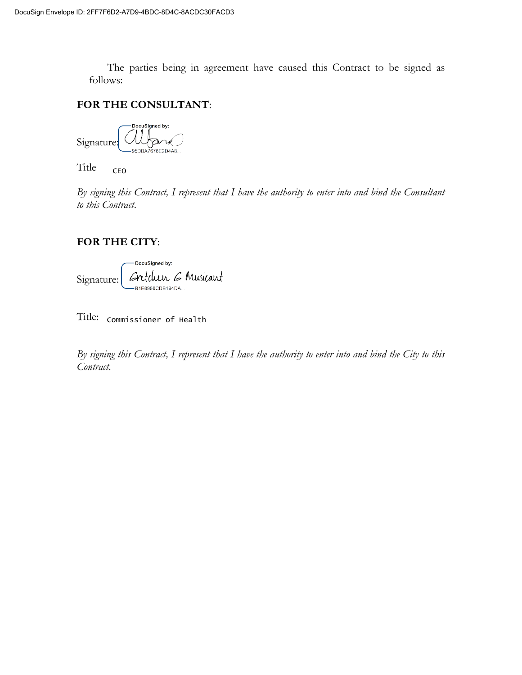The parties being in agreement have caused this Contract to be signed as follows:

#### **FOR THE CONSULTANT**:

DocuSigned by: Signature

Title: \t1\ CEO

*By signing this Contract, I represent that I have the authority to enter into and bind the Consultant to this Contract*.

#### **FOR THE CITY**:

DocuSigned by: Signature: Critulan 6 Musicant

 $\operatorname{Title:}$  Commissioner of Health

*By signing this Contract, I represent that I have the authority to enter into and bind the City to this Contract*.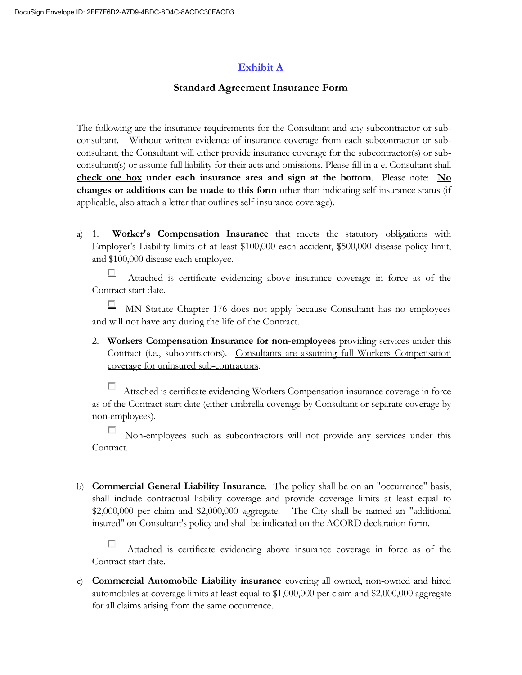### **Exhibit A**

### **Standard Agreement Insurance Form**

The following are the insurance requirements for the Consultant and any subcontractor or subconsultant. Without written evidence of insurance coverage from each subcontractor or subconsultant, the Consultant will either provide insurance coverage for the subcontractor(s) or subconsultant(s) or assume full liability for their acts and omissions. Please fill in a-e. Consultant shall **check one box under each insurance area and sign at the bottom**. Please note: **No changes or additions can be made to this form** other than indicating self-insurance status (if applicable, also attach a letter that outlines self-insurance coverage).

a) 1. **Worker's Compensation Insurance** that meets the statutory obligations with Employer's Liability limits of at least \$100,000 each accident, \$500,000 disease policy limit, and \$100,000 disease each employee.

□ Attached is certificate evidencing above insurance coverage in force as of the Contract start date.

 $\Box$  MN Statute Chapter 176 does not apply because Consultant has no employees and will not have any during the life of the Contract.

2. **Workers Compensation Insurance for non-employees** providing services under this Contract (i.e., subcontractors). Consultants are assuming full Workers Compensation coverage for uninsured sub-contractors.

Attached is certificate evidencing Workers Compensation insurance coverage in force as of the Contract start date (either umbrella coverage by Consultant or separate coverage by non-employees).

 Non-employees such as subcontractors will not provide any services under this Contract.

b) **Commercial General Liability Insurance**. The policy shall be on an "occurrence" basis, shall include contractual liability coverage and provide coverage limits at least equal to \$2,000,000 per claim and \$2,000,000 aggregate. The City shall be named an "additional insured" on Consultant's policy and shall be indicated on the ACORD declaration form.

П Attached is certificate evidencing above insurance coverage in force as of the Contract start date.

c) **Commercial Automobile Liability insurance** covering all owned, non-owned and hired automobiles at coverage limits at least equal to \$1,000,000 per claim and \$2,000,000 aggregate for all claims arising from the same occurrence.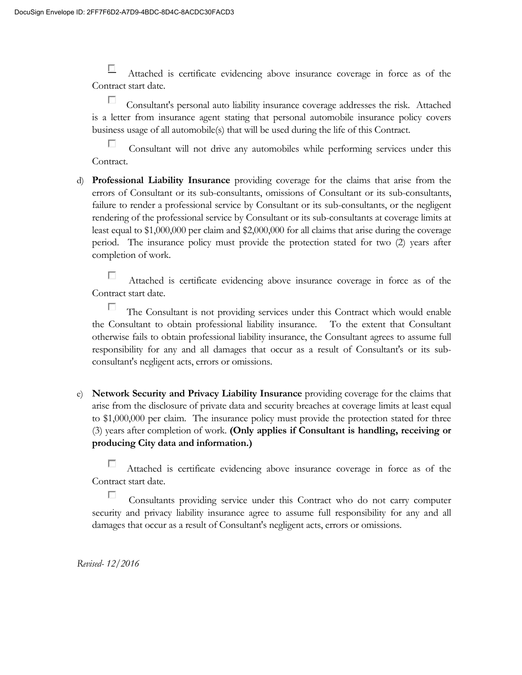口 Attached is certificate evidencing above insurance coverage in force as of the Contract start date.

П Consultant's personal auto liability insurance coverage addresses the risk. Attached is a letter from insurance agent stating that personal automobile insurance policy covers business usage of all automobile(s) that will be used during the life of this Contract.

п Consultant will not drive any automobiles while performing services under this Contract.

d) **Professional Liability Insurance** providing coverage for the claims that arise from the errors of Consultant or its sub-consultants, omissions of Consultant or its sub-consultants, failure to render a professional service by Consultant or its sub-consultants, or the negligent rendering of the professional service by Consultant or its sub-consultants at coverage limits at least equal to \$1,000,000 per claim and \$2,000,000 for all claims that arise during the coverage period. The insurance policy must provide the protection stated for two (2) years after completion of work.

П Attached is certificate evidencing above insurance coverage in force as of the Contract start date.

П The Consultant is not providing services under this Contract which would enable the Consultant to obtain professional liability insurance. To the extent that Consultant otherwise fails to obtain professional liability insurance, the Consultant agrees to assume full responsibility for any and all damages that occur as a result of Consultant's or its subconsultant's negligent acts, errors or omissions.

e) **Network Security and Privacy Liability Insurance** providing coverage for the claims that arise from the disclosure of private data and security breaches at coverage limits at least equal to \$1,000,000 per claim. The insurance policy must provide the protection stated for three (3) years after completion of work. **(Only applies if Consultant is handling, receiving or producing City data and information.)**

П Attached is certificate evidencing above insurance coverage in force as of the Contract start date.

П Consultants providing service under this Contract who do not carry computer security and privacy liability insurance agree to assume full responsibility for any and all damages that occur as a result of Consultant's negligent acts, errors or omissions.

*Revised- 12/2016*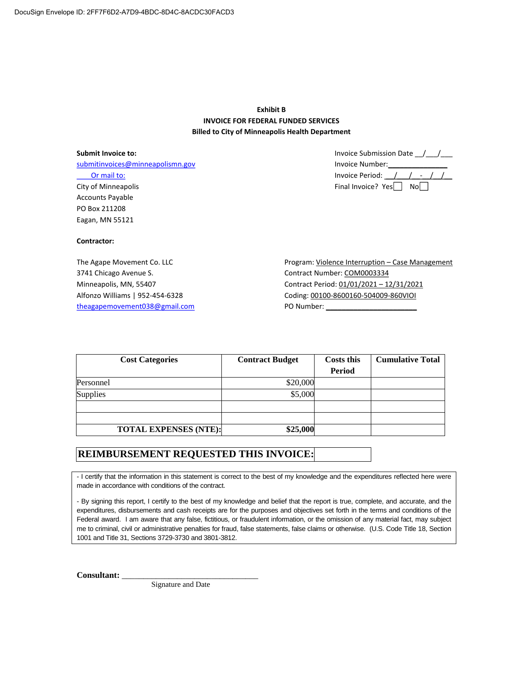#### **Exhibit B INVOICE FOR FEDERAL FUNDED SERVICES Billed to City of Minneapolis Health Department**

**Submit Invoice to:** submitinvoices@minneapolismn.gov Or mail to: City of Minneapolis Accounts Payable PO Box 211208 Eagan, MN 55121

**Contractor:**

The Agape Movement Co. LLC 3741 Chicago Avenue S. Minneapolis, MN, 55407 Alfonzo Williams | 952-454-6328 theagapemovement038@gmail.com

 Invoice Submission Date \_\_/\_\_\_/\_\_\_ Invoice Number:\_\_\_\_\_\_\_\_\_\_\_\_\_\_\_ Invoice Period: \_\_/\_\_\_/\_\_-\_\_/\_\_/\_\_ Final Invoice?  $Yes \nightharpoonup No \nightharpoonup$ 

Program: Violence Interruption – Case Management Contract Number: COM0003334 Contract Period: 01/01/2021 – 12/31/2021 Coding: 00100-8600160-504009-860VIOI PO Number: \_\_\_\_\_\_\_\_\_\_\_\_\_\_\_\_\_\_\_\_\_\_\_

| <b>Cost Categories</b>       | <b>Contract Budget</b> | <b>Costs this</b> | <b>Cumulative Total</b> |
|------------------------------|------------------------|-------------------|-------------------------|
|                              |                        | Period            |                         |
| Personnel                    | \$20,000               |                   |                         |
| Supplies                     | \$5,000                |                   |                         |
|                              |                        |                   |                         |
|                              |                        |                   |                         |
| <b>TOTAL EXPENSES (NTE):</b> | \$25,000               |                   |                         |

#### **REIMBURSEMENT REQUESTED THIS INVOICE:**

- I certify that the information in this statement is correct to the best of my knowledge and the expenditures reflected here were made in accordance with conditions of the contract.

- By signing this report, I certify to the best of my knowledge and belief that the report is true, complete, and accurate, and the expenditures, disbursements and cash receipts are for the purposes and objectives set forth in the terms and conditions of the Federal award. I am aware that any false, fictitious, or fraudulent information, or the omission of any material fact, may subject me to criminal, civil or administrative penalties for fraud, false statements, false claims or otherwise. (U.S. Code Title 18, Section 1001 and Title 31, Sections 3729-3730 and 3801-3812.

Consultant:

Signature and Date